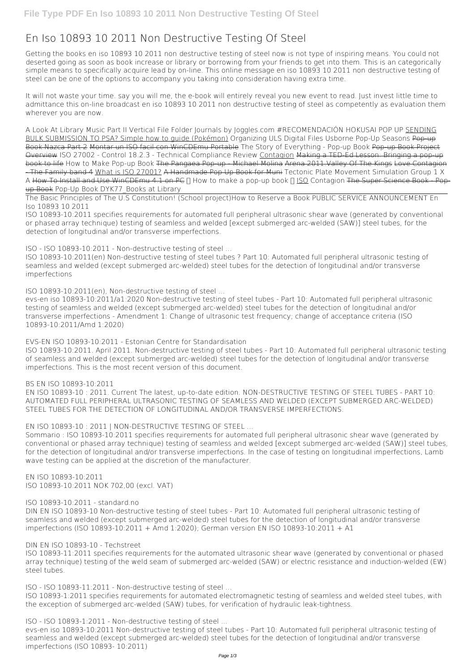## **En Iso 10893 10 2011 Non Destructive Testing Of Steel**

Getting the books **en iso 10893 10 2011 non destructive testing of steel** now is not type of inspiring means. You could not deserted going as soon as book increase or library or borrowing from your friends to get into them. This is an categorically simple means to specifically acquire lead by on-line. This online message en iso 10893 10 2011 non destructive testing of steel can be one of the options to accompany you taking into consideration having extra time.

It will not waste your time. say you will me, the e-book will entirely reveal you new event to read. Just invest little time to admittance this on-line broadcast **en iso 10893 10 2011 non destructive testing of steel** as competently as evaluation them wherever you are now.

*A Look At Library Music Part II Vertical File Folder Journals by Joggles.com #RECOMENDACIÓN HOKUSAI POP UP* SENDING BULK SUBMISSION TO PSA? Simple how to guide (Pokémon) Organizing ULS Digital Files *Usborne Pop-Up Seasons* Pop-up Book Nazca Part 2 Montar un ISO facil con WinCDEmu Portable *The Story of Everything - Pop-up Book* Pop-up Book Project Overview *ISO 27002 - Control 18.2.3 - Technical Compliance Review* Contagion Making a TED-Ed Lesson: Bringing a pop-up book to life **How to Make Pop-up Book** The Pangaea Pop-up - Michael Molina Arena 2011.Valley Of The Kings Love Contagion - The Family band 4 What is ISO 27001? A Handmade Pop Up Book for Muni Tectonic Plate Movement Simulation Group 1 X A How To Install and Use WinCDEmu 4.1 on PC ∏ How to make a pop-up book ∏ ISO Contagion The Super Science Book Popup Book *Pop-Up Book DYK77\_Books at Library*

The Basic Principles of The U.S Constitution! (School project)*How to Reserve a Book* **PUBLIC SERVICE ANNOUNCEMENT En Iso 10893 10 2011**

ISO 10893-10:2011 specifies requirements for automated full peripheral ultrasonic shear wave (generated by conventional or phased array technique) testing of seamless and welded [except submerged arc-welded (SAW)] steel tubes, for the detection of longitudinal and/or transverse imperfections.

**ISO - ISO 10893-10:2011 - Non-destructive testing of steel ...**

ISO 10893-10:2011(en) Non-destructive testing of steel tubes ? Part 10: Automated full peripheral ultrasonic testing of seamless and welded (except submerged arc-welded) steel tubes for the detection of longitudinal and/or transverse imperfections

**ISO 10893-10:2011(en), Non-destructive testing of steel ...**

evs-en iso 10893-10:2011/a1:2020 Non-destructive testing of steel tubes - Part 10: Automated full peripheral ultrasonic testing of seamless and welded (except submerged arc-welded) steel tubes for the detection of longitudinal and/or transverse imperfections - Amendment 1: Change of ultrasonic test frequency; change of acceptance criteria (ISO 10893-10:2011/Amd 1:2020)

**EVS-EN ISO 10893-10:2011 - Estonian Centre for Standardisation**

ISO 10893-10:2011. April 2011. Non-destructive testing of steel tubes - Part 10: Automated full peripheral ultrasonic testing of seamless and welded (except submerged arc-welded) steel tubes for the detection of longitudinal and/or transverse imperfections. This is the most recent version of this document.

## **BS EN ISO 10893-10:2011**

EN ISO 10893-10 : 2011. Current The latest, up-to-date edition. NON-DESTRUCTIVE TESTING OF STEEL TUBES - PART 10: AUTOMATED FULL PERIPHERAL ULTRASONIC TESTING OF SEAMLESS AND WELDED (EXCEPT SUBMERGED ARC-WELDED) STEEL TUBES FOR THE DETECTION OF LONGITUDINAL AND/OR TRANSVERSE IMPERFECTIONS.

**EN ISO 10893-10 : 2011 | NON-DESTRUCTIVE TESTING OF STEEL ...**

Sommario : ISO 10893-10:2011 specifies requirements for automated full peripheral ultrasonic shear wave (generated by conventional or phased array technique) testing of seamless and welded [except submerged arc-welded (SAW)] steel tubes, for the detection of longitudinal and/or transverse imperfections. In the case of testing on longitudinal imperfections, Lamb wave testing can be applied at the discretion of the manufacturer.

**EN ISO 10893-10:2011** ISO 10893-10:2011 NOK 702,00 (excl. VAT)

**ISO 10893-10:2011 - standard.no**

DIN EN ISO 10893-10 Non-destructive testing of steel tubes - Part 10: Automated full peripheral ultrasonic testing of seamless and welded (except submerged arc-welded) steel tubes for the detection of longitudinal and/or transverse imperfections (ISO 10893-10:2011 + Amd 1:2020); German version EN ISO 10893-10:2011 + A1

**DIN EN ISO 10893-10 - Techstreet**

ISO 10893-11:2011 specifies requirements for the automated ultrasonic shear wave (generated by conventional or phased array technique) testing of the weld seam of submerged arc-welded (SAW) or electric resistance and induction-welded (EW) steel tubes.

**ISO - ISO 10893-11:2011 - Non-destructive testing of steel ...**

ISO 10893-1:2011 specifies requirements for automated electromagnetic testing of seamless and welded steel tubes, with the exception of submerged arc-welded (SAW) tubes, for verification of hydraulic leak-tightness.

**ISO - ISO 10893-1:2011 - Non-destructive testing of steel ...**

evs-en iso 10893-10:2011 Non-destructive testing of steel tubes - Part 10: Automated full peripheral ultrasonic testing of seamless and welded (except submerged arc-welded) steel tubes for the detection of longitudinal and/or transverse imperfections (ISO 10893- 10:2011)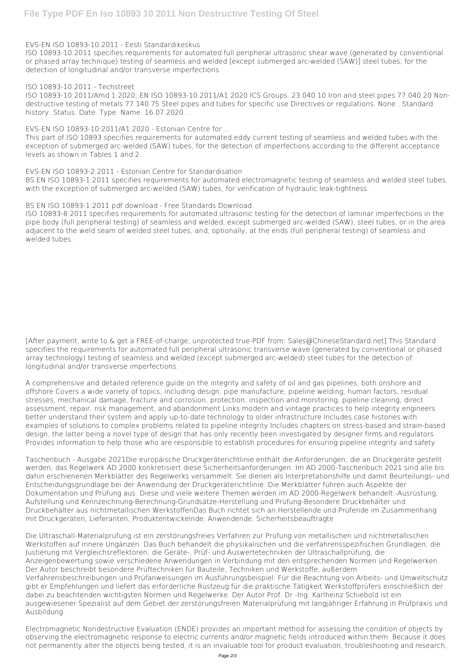**EVS-EN ISO 10893-10:2011 - Eesti Standardikeskus**

ISO 10893-10:2011/Amd 1:2020; EN ISO 10893-10:2011/A1:2020 ICS Groups. 23.040.10 Iron and steel pipes 77.040.20 Nondestructive testing of metals 77.140.75 Steel pipes and tubes for specific use Directives or regulations. None . Standard history. Status. Date. Type. Name. 16.07.2020 ...

ISO 10893-10:2011 specifies requirements for automated full peripheral ultrasonic shear wave (generated by conventional or phased array technique) testing of seamless and welded [except submerged arc-welded (SAW)] steel tubes, for the detection of longitudinal and/or transverse imperfections.

## **ISO 10893-10:2011 - Techstreet**

BS EN ISO 10893-1:2011 specifies requirements for automated electromagnetic testing of seamless and welded steel tubes, with the exception of submerged arc-welded (SAW) tubes, for verification of hydraulic leak-tightness.

**EVS-EN ISO 10893-10:2011/A1:2020 - Estonian Centre for ...**

This part of ISO 10893 specifies requirements for automated eddy current testing of seamless and welded tubes with the exception of submerged arc-welded (SAW) tubes, for the detection of imperfections according to the different acceptance levels as shown in Tables 1 and 2.

**EVS-EN ISO 10893-2:2011 - Estonian Centre for Standardisation**

**BS EN ISO 10893-1:2011 pdf download - Free Standards Download**

ISO 10893-8:2011 specifies requirements for automated ultrasonic testing for the detection of laminar imperfections in the pipe body (full peripheral testing) of seamless and welded, except submerged arc-welded (SAW), steel tubes, or in the area adjacent to the weld seam of welded steel tubes, and, optionally, at the ends (full peripheral testing) of seamless and welded tubes.

[After payment, write to & get a FREE-of-charge, unprotected true-PDF from: Sales@ChineseStandard.net] This Standard specifies the requirements for automated full peripheral ultrasonic transverse wave (generated by conventional or phased array technology) testing of seamless and welded (except submerged arc-welded) steel tubes for the detection of longitudinal and/or transverse imperfections.

A comprehensive and detailed reference guide on the integrity and safety of oil and gas pipelines, both onshore and offshore Covers a wide variety of topics, including design, pipe manufacture, pipeline welding, human factors, residual stresses, mechanical damage, fracture and corrosion, protection, inspection and monitoring, pipeline cleaning, direct assessment, repair, risk management, and abandonment Links modern and vintage practices to help integrity engineers better understand their system and apply up-to-date technology to older infrastructure Includes case histories with examples of solutions to complex problems related to pipeline integrity Includes chapters on stress-based and strain-based design, the latter being a novel type of design that has only recently been investigated by designer firms and regulators Provides information to help those who are responsible to establish procedures for ensuring pipeline integrity and safety

Taschenbuch - Ausgabe 2021Die europäische Druckgeräterichtlinie enthält die Anforderungen, die an Druckgeräte gestellt werden; das Regelwerk AD 2000 konkretisiert diese Sicherheitsanforderungen. Im AD 2000-Taschenbuch 2021 sind alle bis dahin erschienenen Merkblätter des Regelwerks versammelt. Sie dienen als Interpretationshilfe und damit Beurteilungs- und Entscheidungsgrundlage bei der Anwendung der Druckgeräterichtlinie. Die Merkblätter führen auch Aspekte der Dokumentation und Prüfung aus. Diese und viele weitere Themen werden im AD 2000-Regelwerk behandelt:-Ausrüstung, Aufstellung und Kennzeichnung-Berechnung-Grundsätze-Herstellung und Prüfung-Besondere Druckbehälter und

Druckbehälter aus nichtmetallischen WerkstoffenDas Buch richtet sich an:Herstellende und Prüfende im Zusammenhang mit Druckgeräten, Lieferanten, Produktentwickelnde, Anwendende, Sicherheitsbeauftragte

Die Ultraschall-Materialprüfung ist ein zerstörungsfreies Verfahren zur Prüfung von metallischen und nichtmetallischen Werkstoffen auf innere Ungänzen. Das Buch behandelt die physikalischen und die verfahrensspezifischen Grundlagen, die Justierung mit Vergleichsreflektoren, die Geräte-, Prüf- und Auswertetechniken der Ultraschallprüfung, die Anzeigenbewertung sowie verschiedene Anwendungen in Verbindung mit den entsprechenden Normen und Regelwerken. Der Autor beschreibt besondere Prüftechniken für Bauteile, Techniken und Werkstoffe, außerdem Verfahrensbeschreibungen und Prüfanweisungen im Ausführungsbeispiel. Für die Beachtung von Arbeits- und Umweltschutz gibt er Empfehlungen und liefert das erforderliche Rüstzeug für die praktische Tätigkeit Werkstoffprüfers einschließlich der dabei zu beachtenden wichtigsten Normen und Regelwerke. Der Autor Prof. Dr.-Ing. Karlheinz Schiebold ist ein ausgewiesener Spezialist auf dem Gebiet der zerstörungsfreien Materialprüfung mit langjähriger Erfahrung in Prüfpraxis und Ausbildung.

Electromagnetic Nondestructive Evaluation (ENDE) provides an important method for assessing the condition of objects by observing the electromagnetic response to electric currents and/or magnetic fields introduced within them. Because it does not permanently alter the objects being tested, it is an invaluable tool for product evaluation, troubleshooting and research,